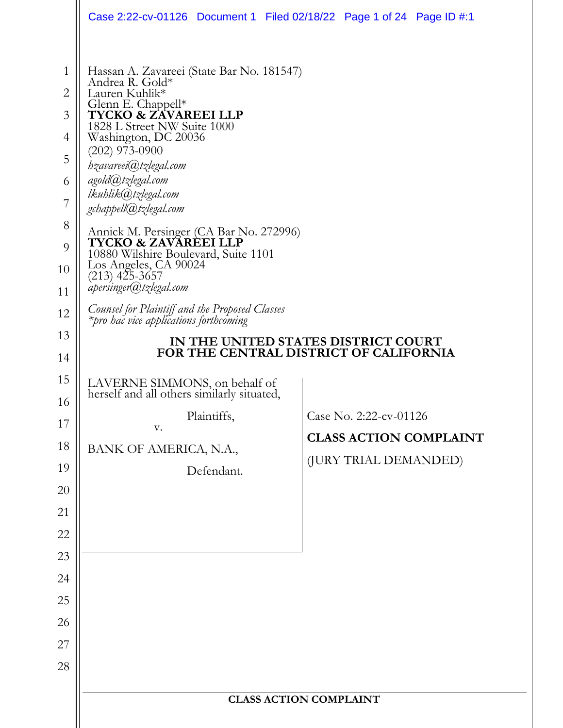|                                                                                                 |                                                                                                                                                                                                                                                                                                                                                                                                                                                                                                                                                                                              | Case 2:22-cv-01126 Document 1 Filed 02/18/22 Page 1 of 24 Page ID #:1            |
|-------------------------------------------------------------------------------------------------|----------------------------------------------------------------------------------------------------------------------------------------------------------------------------------------------------------------------------------------------------------------------------------------------------------------------------------------------------------------------------------------------------------------------------------------------------------------------------------------------------------------------------------------------------------------------------------------------|----------------------------------------------------------------------------------|
| $\mathbf{1}$<br>$\overline{2}$<br>3<br>4<br>5<br>6<br>7<br>8<br>9<br>10<br>11<br>12<br>13<br>14 | Hassan A. Zavareei (State Bar No. 181547)<br>Andrea R. Gold*<br>Lauren Kuhlik*<br>Glenn E. Chappell*<br><b>TYCKO &amp; ZAVAREEI LLP</b><br>1828 L Street NW Suite 1000<br>Washington, DC 20036<br>$(202)$ 973-0900<br>hzavareei@tzlegal.com<br>agold@tzlegal.com<br>lkuhlik@tzlegal.com<br>gchappell@tzlegal.com<br>Annick M. Persinger (CA Bar No. 272996)<br>TYCKO & ZAVÁRÈEI LLP<br>10880 Wilshire Boulevard, Suite 1101<br>Los Angeles, CA 90024<br>(213) 425-3657<br>apersinger@tzlegal.com<br>Counsel for Plaintiff and the Proposed Classes<br>*pro hac vice applications forthcoming | IN THE UNITED STATES DISTRICT COURT<br>FOR THE CENTRAL DISTRICT OF CALIFORNIA    |
| 15<br>16<br>17<br>18<br>19<br>20<br>21<br>22<br>23<br>24<br>25<br>26<br>27<br>28                | LAVERNE SIMMONS, on behalf of<br>herself and all others similarly situated,<br>Plaintiffs,<br>V.<br>BANK OF AMERICA, N.A.,<br>Defendant.                                                                                                                                                                                                                                                                                                                                                                                                                                                     | Case No. 2:22-cv-01126<br><b>CLASS ACTION COMPLAINT</b><br>(JURY TRIAL DEMANDED) |
|                                                                                                 | <b>CLASS ACTION COMPLAINT</b>                                                                                                                                                                                                                                                                                                                                                                                                                                                                                                                                                                |                                                                                  |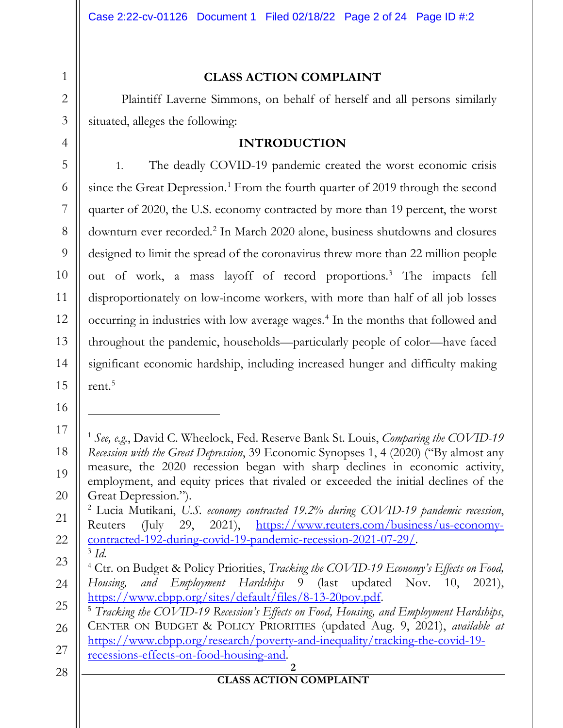# **CLASS ACTION COMPLAINT**

Plaintiff Laverne Simmons, on behalf of herself and all persons similarly situated, alleges the following:

## **INTRODUCTION**

1. The deadly COVID-19 pandemic created the worst economic crisis since the Great Depression.<sup>[1](#page-1-0)</sup> From the fourth quarter of 2019 through the second quarter of 2020, the U.S. economy contracted by more than 19 percent, the worst downturn ever recorded.[2](#page-1-1) In March 2020 alone, business shutdowns and closures designed to limit the spread of the coronavirus threw more than 22 million people out of work, a mass layoff of record proportions.[3](#page-1-2) The impacts fell disproportionately on low-income workers, with more than half of all job losses occurring in industries with low average wages.[4](#page-1-3) In the months that followed and throughout the pandemic, households—particularly people of color—have faced significant economic hardship, including increased hunger and difficulty making rent. $5$ 

<span id="page-1-0"></span><sup>1</sup> *See, e.g.*, David C. Wheelock, Fed. Reserve Bank St. Louis, *Comparing the COVID-19 Recession with the Great Depression*, 39 Economic Synopses 1, 4 (2020) ("By almost any measure, the 2020 recession began with sharp declines in economic activity, employment, and equity prices that rivaled or exceeded the initial declines of the Great Depression.").

<span id="page-1-1"></span><sup>2</sup> Lucia Mutikani, *U.S. economy contracted 19.2% during COVID-19 pandemic recession*, Reuters (July 29, 2021), [https://www.reuters.com/business/us-economy](https://www.reuters.com/business/us-economy-contracted-192-during-covid-19-pandemic-recession-2021-07-29/)[contracted-192-during-covid-19-pandemic-recession-2021-07-29/.](https://www.reuters.com/business/us-economy-contracted-192-during-covid-19-pandemic-recession-2021-07-29/) 3 *Id.*

<span id="page-1-3"></span><span id="page-1-2"></span><sup>23</sup> 24 <sup>4</sup> Ctr. on Budget & Policy Priorities, *Tracking the COVID-19 Economy's Effects on Food, Housing, and Employment Hardships* 9 (last updated Nov. 10, 2021), [https://www.cbpp.org/sites/default/files/8-13-20pov.pdf.](https://www.cbpp.org/sites/default/files/8-13-20pov.pdf)

<span id="page-1-4"></span><sup>25</sup> 26 27 <sup>5</sup> *Tracking the COVID-19 Recession's Effects on Food, Housing, and Employment Hardships*, CENTER ON BUDGET & POLICY PRIORITIES (updated Aug. 9, 2021), *available at*  [https://www.cbpp.org/research/poverty-and-inequality/tracking-the-covid-19](https://www.cbpp.org/research/poverty-and-inequality/tracking-the-covid-19-recessions-effects-on-food-housing-and) [recessions-effects-on-food-housing-and.](https://www.cbpp.org/research/poverty-and-inequality/tracking-the-covid-19-recessions-effects-on-food-housing-and)

<sup>28</sup>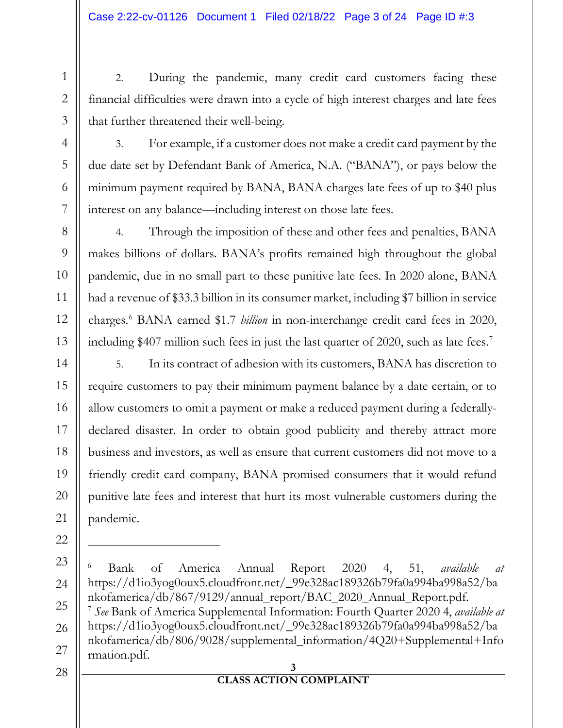2. During the pandemic, many credit card customers facing these financial difficulties were drawn into a cycle of high interest charges and late fees that further threatened their well-being.

3. For example, if a customer does not make a credit card payment by the due date set by Defendant Bank of America, N.A. ("BANA"), or pays below the minimum payment required by BANA, BANA charges late fees of up to \$40 plus interest on any balance—including interest on those late fees.

4. Through the imposition of these and other fees and penalties, BANA makes billions of dollars. BANA's profits remained high throughout the global pandemic, due in no small part to these punitive late fees. In 2020 alone, BANA had a revenue of \$33.3 billion in its consumer market, including \$7 billion in service charges.[6](#page-2-0) BANA earned \$1.7 *billion* in non-interchange credit card fees in 2020, including \$40[7](#page-2-1) million such fees in just the last quarter of 2020, such as late fees.<sup>7</sup>

5. In its contract of adhesion with its customers, BANA has discretion to require customers to pay their minimum payment balance by a date certain, or to allow customers to omit a payment or make a reduced payment during a federallydeclared disaster. In order to obtain good publicity and thereby attract more business and investors, as well as ensure that current customers did not move to a friendly credit card company, BANA promised consumers that it would refund punitive late fees and interest that hurt its most vulnerable customers during the pandemic.

1

2

3

4

5

6

7

8

9

10

11

12

13

14

15

16

17

18

<sup>20</sup> 21 22 23 24 25 26 27 28

<span id="page-2-1"></span><span id="page-2-0"></span>**<sup>3</sup>**  <sup>6</sup> Bank of America Annual Report 2020 4, 51, *available at*  https://d1io3yog0oux5.cloudfront.net/\_99e328ac189326b79fa0a994ba998a52/ba nkofamerica/db/867/9129/annual\_report/BAC\_2020\_Annual\_Report.pdf. <sup>7</sup> *See* Bank of America Supplemental Information: Fourth Quarter 2020 4, *available at*  https://d1io3yog0oux5.cloudfront.net/\_99e328ac189326b79fa0a994ba998a52/ba nkofamerica/db/806/9028/supplemental\_information/4Q20+Supplemental+Info rmation.pdf.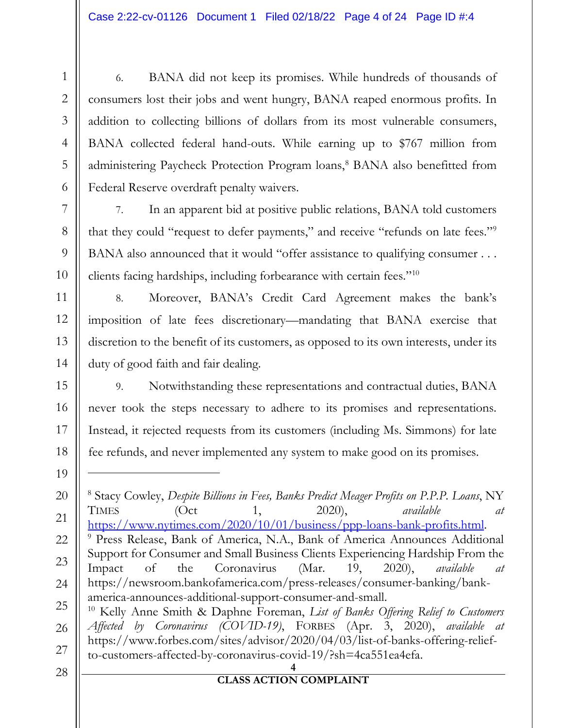6. BANA did not keep its promises. While hundreds of thousands of consumers lost their jobs and went hungry, BANA reaped enormous profits. In addition to collecting billions of dollars from its most vulnerable consumers, BANA collected federal hand-outs. While earning up to \$767 million from administering Paycheck Protection Program loans,<sup>[8](#page-3-0)</sup> BANA also benefitted from Federal Reserve overdraft penalty waivers.

7. In an apparent bid at positive public relations, BANA told customers that they could "request to defer payments," and receive "refunds on late fees."[9](#page-3-1) BANA also announced that it would "offer assistance to qualifying consumer . . . clients facing hardships, including forbearance with certain fees."[10](#page-3-2)

8. Moreover, BANA's Credit Card Agreement makes the bank's imposition of late fees discretionary—mandating that BANA exercise that discretion to the benefit of its customers, as opposed to its own interests, under its duty of good faith and fair dealing.

9. Notwithstanding these representations and contractual duties, BANA never took the steps necessary to adhere to its promises and representations. Instead, it rejected requests from its customers (including Ms. Simmons) for late fee refunds, and never implemented any system to make good on its promises.

1

2

3

4

5

6

7

8

9

10

11

12

13

14

15

16

17

18

19

<span id="page-3-2"></span><span id="page-3-1"></span><span id="page-3-0"></span>**<sup>4</sup>**  20 21 22 23 24 25 26 27 <sup>8</sup> Stacy Cowley, *Despite Billions in Fees, Banks Predict Meager Profits on P.P.P. Loans*, NY TIMES (Oct 1, 2020), *available at*  [https://www.nytimes.com/2020/10/01/business/ppp-loans-bank-profits.html.](https://www.nytimes.com/2020/10/01/business/ppp-loans-bank-profits.html) <sup>9</sup> Press Release, Bank of America, N.A., Bank of America Announces Additional Support for Consumer and Small Business Clients Experiencing Hardship From the Impact of the Coronavirus (Mar. 19, 2020), *available at* https://newsroom.bankofamerica.com/press-releases/consumer-banking/bankamerica-announces-additional-support-consumer-and-small. <sup>10</sup> Kelly Anne Smith & Daphne Foreman, *List of Banks Offering Relief to Customers Affected by Coronavirus (COVID-19)*, FORBES (Apr. 3, 2020), *available at* https://www.forbes.com/sites/advisor/2020/04/03/list-of-banks-offering-reliefto-customers-affected-by-coronavirus-covid-19/?sh=4ca551ea4efa.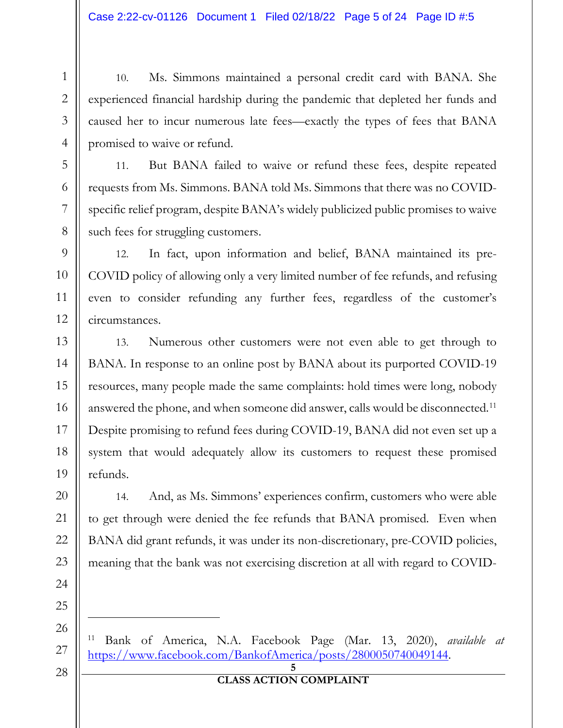10. Ms. Simmons maintained a personal credit card with BANA. She experienced financial hardship during the pandemic that depleted her funds and caused her to incur numerous late fees—exactly the types of fees that BANA promised to waive or refund.

11. But BANA failed to waive or refund these fees, despite repeated requests from Ms. Simmons. BANA told Ms. Simmons that there was no COVIDspecific relief program, despite BANA's widely publicized public promises to waive such fees for struggling customers.

12. In fact, upon information and belief, BANA maintained its pre-COVID policy of allowing only a very limited number of fee refunds, and refusing even to consider refunding any further fees, regardless of the customer's circumstances.

13. Numerous other customers were not even able to get through to BANA. In response to an online post by BANA about its purported COVID-19 resources, many people made the same complaints: hold times were long, nobody answered the phone, and when someone did answer, calls would be disconnected.<sup>[11](#page-4-0)</sup> Despite promising to refund fees during COVID-19, BANA did not even set up a system that would adequately allow its customers to request these promised refunds.

14. And, as Ms. Simmons' experiences confirm, customers who were able to get through were denied the fee refunds that BANA promised. Even when BANA did grant refunds, it was under its non-discretionary, pre-COVID policies, meaning that the bank was not exercising discretion at all with regard to COVID-

<span id="page-4-0"></span><sup>11</sup> Bank of America, N.A. Facebook Page (Mar. 13, 2020), *available at* [https://www.facebook.com/BankofAmerica/posts/2800050740049144.](https://www.facebook.com/BankofAmerica/posts/2800050740049144)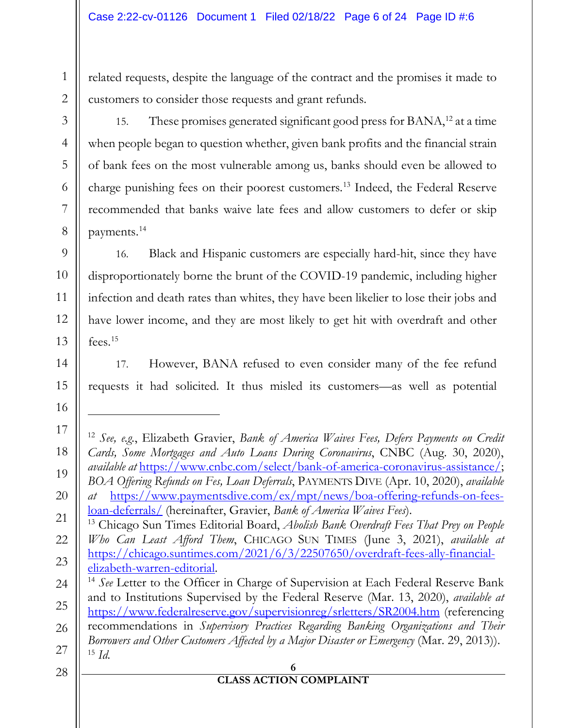related requests, despite the language of the contract and the promises it made to customers to consider those requests and grant refunds.

15. These promises generated significant good press for BANA,<sup>[12](#page-5-0)</sup> at a time when people began to question whether, given bank profits and the financial strain of bank fees on the most vulnerable among us, banks should even be allowed to charge punishing fees on their poorest customers. [13](#page-5-1) Indeed, the Federal Reserve recommended that banks waive late fees and allow customers to defer or skip payments.[14](#page-5-2)

16. Black and Hispanic customers are especially hard-hit, since they have disproportionately borne the brunt of the COVID-19 pandemic, including higher infection and death rates than whites, they have been likelier to lose their jobs and have lower income, and they are most likely to get hit with overdraft and other fees.[15](#page-5-3)

17. However, BANA refused to even consider many of the fee refund requests it had solicited. It thus misled its customers—as well as potential

<span id="page-5-3"></span><span id="page-5-2"></span><span id="page-5-1"></span><span id="page-5-0"></span>**<sup>6</sup>**  <sup>12</sup> *See, e.g.*, Elizabeth Gravier, *Bank of America Waives Fees, Defers Payments on Credit Cards, Some Mortgages and Auto Loans During Coronavirus*, CNBC (Aug. 30, 2020), *available at* [https://www.cnbc.com/select/bank-of-america-coronavirus-assistance/;](https://www.cnbc.com/select/bank-of-america-coronavirus-assistance/) *BOA Offering Refunds on Fes, Loan Deferrals*, PAYMENTS DIVE (Apr. 10, 2020), *available at* [https://www.paymentsdive.com/ex/mpt/news/boa-offering-refunds-on-fees](https://www.paymentsdive.com/ex/mpt/news/boa-offering-refunds-on-fees-loan-deferrals/)[loan-deferrals/](https://www.paymentsdive.com/ex/mpt/news/boa-offering-refunds-on-fees-loan-deferrals/) (hereinafter, Gravier, *Bank of America Waives Fees*). <sup>13</sup> Chicago Sun Times Editorial Board, *Abolish Bank Overdraft Fees That Prey on People Who Can Least Afford Them*, CHICAGO SUN TIMES (June 3, 2021), *available at* [https://chicago.suntimes.com/2021/6/3/22507650/overdraft-fees-ally-financial](https://chicago.suntimes.com/2021/6/3/22507650/overdraft-fees-ally-financial-elizabeth-warren-editorial)[elizabeth-warren-editorial.](https://chicago.suntimes.com/2021/6/3/22507650/overdraft-fees-ally-financial-elizabeth-warren-editorial) <sup>14</sup> *See* Letter to the Officer in Charge of Supervision at Each Federal Reserve Bank and to Institutions Supervised by the Federal Reserve (Mar. 13, 2020), *available at*  <https://www.federalreserve.gov/supervisionreg/srletters/SR2004.htm> (referencing recommendations in *Supervisory Practices Regarding Banking Organizations and Their Borrowers and Other Customers Affected by a Major Disaster or Emergency* (Mar. 29, 2013)). <sup>15</sup> *Id.*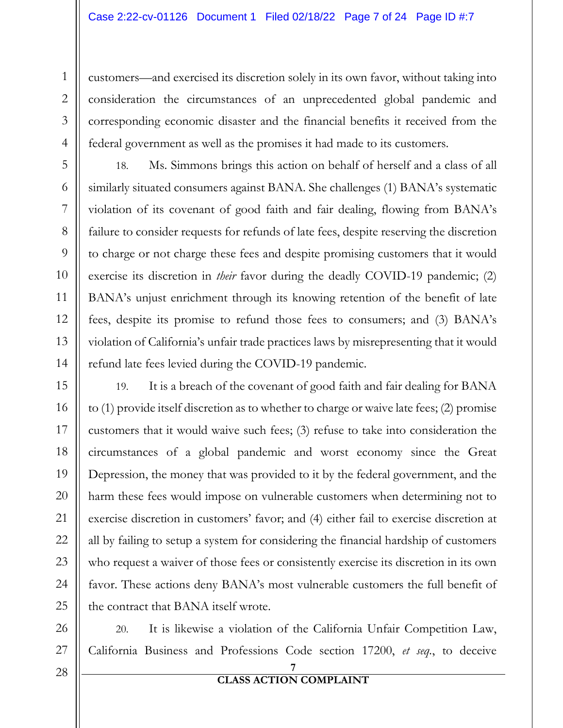customers—and exercised its discretion solely in its own favor, without taking into consideration the circumstances of an unprecedented global pandemic and corresponding economic disaster and the financial benefits it received from the federal government as well as the promises it had made to its customers.

18. Ms. Simmons brings this action on behalf of herself and a class of all similarly situated consumers against BANA. She challenges (1) BANA's systematic violation of its covenant of good faith and fair dealing, flowing from BANA's failure to consider requests for refunds of late fees, despite reserving the discretion to charge or not charge these fees and despite promising customers that it would exercise its discretion in *their* favor during the deadly COVID-19 pandemic; (2) BANA's unjust enrichment through its knowing retention of the benefit of late fees, despite its promise to refund those fees to consumers; and (3) BANA's violation of California's unfair trade practices laws by misrepresenting that it would refund late fees levied during the COVID-19 pandemic.

19. It is a breach of the covenant of good faith and fair dealing for BANA to (1) provide itself discretion as to whether to charge or waive late fees; (2) promise customers that it would waive such fees; (3) refuse to take into consideration the circumstances of a global pandemic and worst economy since the Great Depression, the money that was provided to it by the federal government, and the harm these fees would impose on vulnerable customers when determining not to exercise discretion in customers' favor; and (4) either fail to exercise discretion at all by failing to setup a system for considering the financial hardship of customers who request a waiver of those fees or consistently exercise its discretion in its own favor. These actions deny BANA's most vulnerable customers the full benefit of the contract that BANA itself wrote.

20. It is likewise a violation of the California Unfair Competition Law, California Business and Professions Code section 17200, *et seq.*, to deceive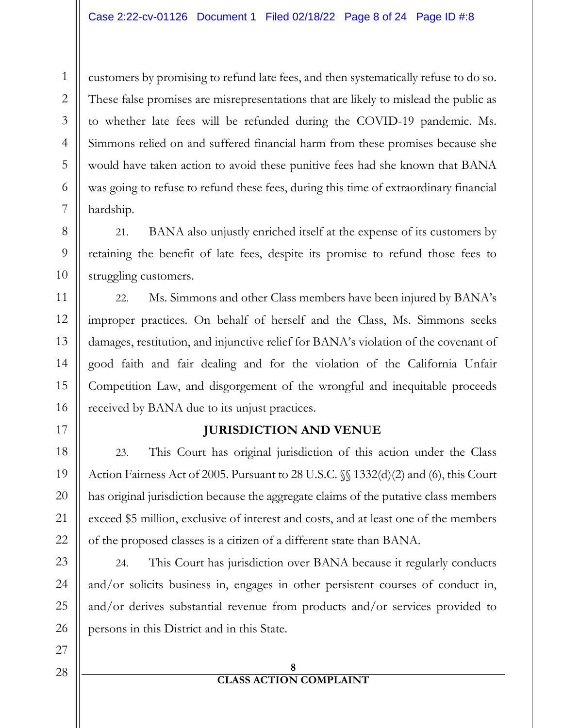customers by promising to refund late fees, and then systematically refuse to do so. These false promises are misrepresentations that are likely to mislead the public as to whether late fees will be refunded during the COVID-19 pandemic. Ms. Simmons relied on and suffered financial harm from these promises because she would have taken action to avoid these punitive fees had she known that BANA was going to refuse to refund these fees, during this time of extraordinary financial hardship.

21. BANA also unjustly enriched itself at the expense of its customers by retaining the benefit of late fees, despite its promise to refund those fees to struggling customers.

22. Ms. Simmons and other Class members have been injured by BANA's improper practices. On behalf of herself and the Class, Ms. Simmons seeks damages, restitution, and injunctive relief for BANA's violation of the covenant of good faith and fair dealing and for the violation of the California Unfair Competition Law, and disgorgement of the wrongful and inequitable proceeds received by BANA due to its unjust practices.

# **JURISDICTION AND VENUE**

23. This Court has original jurisdiction of this action under the Class Action Fairness Act of 2005. Pursuant to 28 U.S.C. §§ 1332(d)(2) and (6), this Court has original jurisdiction because the aggregate claims of the putative class members exceed \$5 million, exclusive of interest and costs, and at least one of the members of the proposed classes is a citizen of a different state than BANA.

24. This Court has jurisdiction over BANA because it regularly conducts and/or solicits business in, engages in other persistent courses of conduct in, and/or derives substantial revenue from products and/or services provided to persons in this District and in this State.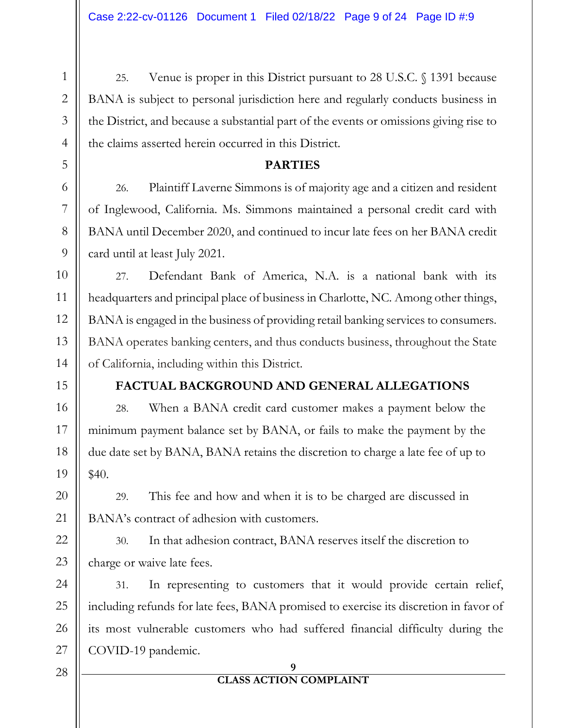25. Venue is proper in this District pursuant to 28 U.S.C. § 1391 because BANA is subject to personal jurisdiction here and regularly conducts business in the District, and because a substantial part of the events or omissions giving rise to the claims asserted herein occurred in this District.

## **PARTIES**

26. Plaintiff Laverne Simmons is of majority age and a citizen and resident of Inglewood, California. Ms. Simmons maintained a personal credit card with BANA until December 2020, and continued to incur late fees on her BANA credit card until at least July 2021.

27. Defendant Bank of America, N.A. is a national bank with its headquarters and principal place of business in Charlotte, NC. Among other things, BANA is engaged in the business of providing retail banking services to consumers. BANA operates banking centers, and thus conducts business, throughout the State of California, including within this District.

# **FACTUAL BACKGROUND AND GENERAL ALLEGATIONS**

28. When a BANA credit card customer makes a payment below the minimum payment balance set by BANA, or fails to make the payment by the due date set by BANA, BANA retains the discretion to charge a late fee of up to \$40.

29. This fee and how and when it is to be charged are discussed in BANA's contract of adhesion with customers.

30. In that adhesion contract, BANA reserves itself the discretion to charge or waive late fees.

31. In representing to customers that it would provide certain relief, including refunds for late fees, BANA promised to exercise its discretion in favor of its most vulnerable customers who had suffered financial difficulty during the COVID-19 pandemic.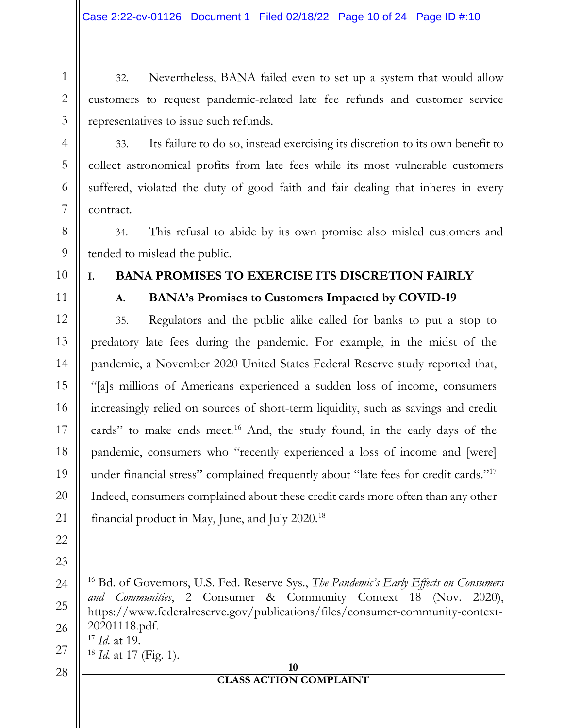32. Nevertheless, BANA failed even to set up a system that would allow customers to request pandemic-related late fee refunds and customer service representatives to issue such refunds.

33. Its failure to do so, instead exercising its discretion to its own benefit to collect astronomical profits from late fees while its most vulnerable customers suffered, violated the duty of good faith and fair dealing that inheres in every contract.

34. This refusal to abide by its own promise also misled customers and tended to mislead the public.

1

2

3

4

5

6

7

8

9

10

11

12

13

14

15

16

17

18

19

20

21

22

23

<span id="page-9-0"></span>24

25

<span id="page-9-2"></span><span id="page-9-1"></span>26

# **I. BANA PROMISES TO EXERCISE ITS DISCRETION FAIRLY**

# **A. BANA's Promises to Customers Impacted by COVID-19**

35. Regulators and the public alike called for banks to put a stop to predatory late fees during the pandemic. For example, in the midst of the pandemic, a November 2020 United States Federal Reserve study reported that, "[a]s millions of Americans experienced a sudden loss of income, consumers increasingly relied on sources of short-term liquidity, such as savings and credit cards" to make ends meet.<sup>[16](#page-9-0)</sup> And, the study found, in the early days of the pandemic, consumers who "recently experienced a loss of income and [were] under financial stress" complained frequently about "late fees for credit cards."[17](#page-9-1) Indeed, consumers complained about these credit cards more often than any other financial product in May, June, and July 2020.[18](#page-9-2)

<sup>18</sup> *Id.* at 17 (Fig. 1).

#### **10 CLASS ACTION COMPLAINT**

<sup>16</sup> Bd. of Governors, U.S. Fed. Reserve Sys., *The Pandemic's Early Effects on Consumers and Communities*, 2 Consumer & Community Context 18 (Nov. 2020), https://www.federalreserve.gov/publications/files/consumer-community-context-20201118.pdf. <sup>17</sup> *Id.* at 19.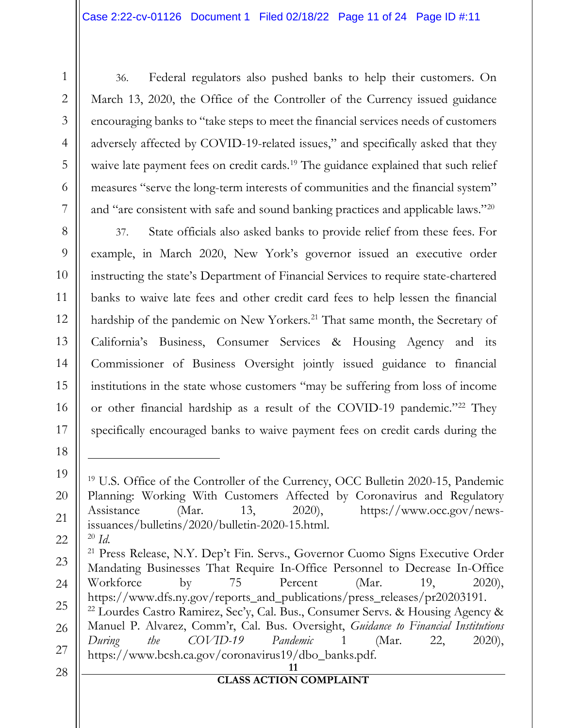36. Federal regulators also pushed banks to help their customers. On March 13, 2020, the Office of the Controller of the Currency issued guidance encouraging banks to "take steps to meet the financial services needs of customers adversely affected by COVID-19-related issues," and specifically asked that they waive late payment fees on credit cards.<sup>[19](#page-10-0)</sup> The guidance explained that such relief measures "serve the long-term interests of communities and the financial system" and "are consistent with safe and sound banking practices and applicable laws."<sup>[20](#page-10-1)</sup>

37. State officials also asked banks to provide relief from these fees. For example, in March 2020, New York's governor issued an executive order instructing the state's Department of Financial Services to require state-chartered banks to waive late fees and other credit card fees to help lessen the financial hardship of the pandemic on New Yorkers.<sup>[21](#page-10-2)</sup> That same month, the Secretary of California's Business, Consumer Services & Housing Agency and its Commissioner of Business Oversight jointly issued guidance to financial institutions in the state whose customers "may be suffering from loss of income or other financial hardship as a result of the COVID-19 pandemic."<sup>[22](#page-10-3)</sup> They specifically encouraged banks to waive payment fees on credit cards during the

1

2

3

4

5

6

7

8

9

10

11

12

13

14

15

16

17

18

<span id="page-10-0"></span>19

20

21

<sup>&</sup>lt;sup>19</sup> U.S. Office of the Controller of the Currency, OCC Bulletin 2020-15, Pandemic Planning: Working With Customers Affected by Coronavirus and Regulatory Assistance (Mar. 13, 2020), https://www.occ.gov/newsissuances/bulletins/2020/bulletin-2020-15.html. <sup>20</sup> *Id.*

<span id="page-10-3"></span><span id="page-10-2"></span><span id="page-10-1"></span><sup>23</sup> 24 25 26 27 <sup>21</sup> Press Release, N.Y. Dep't Fin. Servs., Governor Cuomo Signs Executive Order Mandating Businesses That Require In-Office Personnel to Decrease In-Office Workforce by 75 Percent (Mar. 19, 2020), https://www.dfs.ny.gov/reports\_and\_publications/press\_releases/pr20203191.  $^{22}$  Lourdes Castro Ramirez, Sec'y, Cal. Bus., Consumer Servs. & Housing Agency & Manuel P. Alvarez, Comm'r, Cal. Bus. Oversight, *Guidance to Financial Institutions During the COVID-19 Pandemic* 1 (Mar. 22, 2020), https://www.bcsh.ca.gov/coronavirus19/dbo\_banks.pdf.

<sup>28</sup>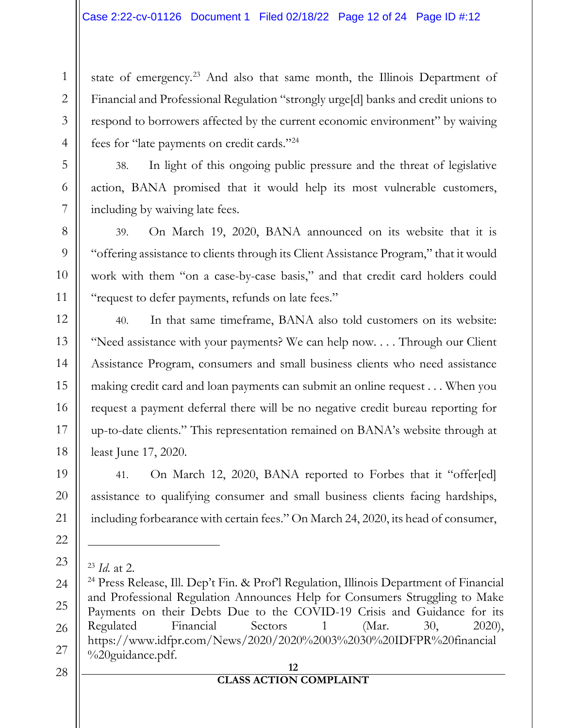state of emergency.<sup>[23](#page-11-0)</sup> And also that same month, the Illinois Department of Financial and Professional Regulation "strongly urge[d] banks and credit unions to respond to borrowers affected by the current economic environment" by waiving fees for "late payments on credit cards."[24](#page-11-1)

38. In light of this ongoing public pressure and the threat of legislative action, BANA promised that it would help its most vulnerable customers, including by waiving late fees.

39. On March 19, 2020, BANA announced on its website that it is "offering assistance to clients through its Client Assistance Program," that it would work with them "on a case-by-case basis," and that credit card holders could "request to defer payments, refunds on late fees."

40. In that same timeframe, BANA also told customers on its website: "Need assistance with your payments? We can help now. . . . Through our Client Assistance Program, consumers and small business clients who need assistance making credit card and loan payments can submit an online request . . . When you request a payment deferral there will be no negative credit bureau reporting for up-to-date clients." This representation remained on BANA's website through at least June 17, 2020.

41. On March 12, 2020, BANA reported to Forbes that it "offer[ed] assistance to qualifying consumer and small business clients facing hardships, including forbearance with certain fees." On March 24, 2020, its head of consumer,

<sup>23</sup> *Id.* at 2.

<span id="page-11-1"></span><span id="page-11-0"></span><sup>24</sup> Press Release, Ill. Dep't Fin. & Prof'l Regulation, Illinois Department of Financial and Professional Regulation Announces Help for Consumers Struggling to Make Payments on their Debts Due to the COVID-19 Crisis and Guidance for its Regulated Financial Sectors 1 (Mar. 30, 2020), https://www.idfpr.com/News/2020/2020%2003%2030%20IDFPR%20financial %20guidance.pdf.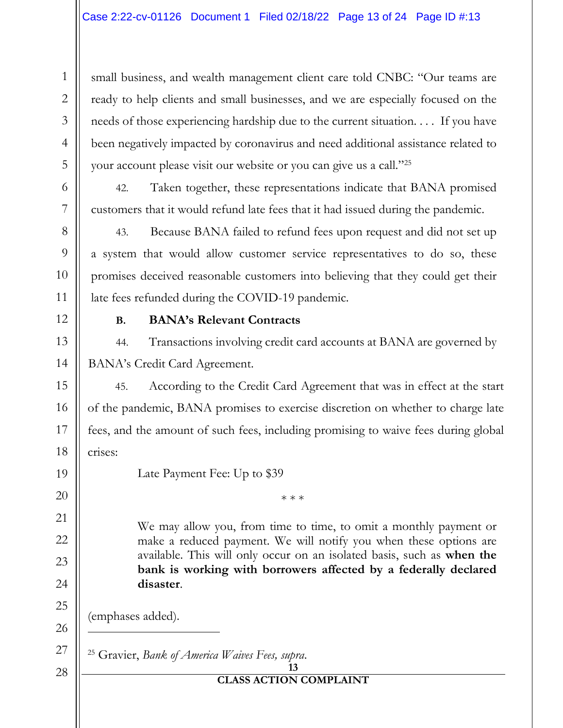small business, and wealth management client care told CNBC: "Our teams are ready to help clients and small businesses, and we are especially focused on the needs of those experiencing hardship due to the current situation. . . . If you have been negatively impacted by coronavirus and need additional assistance related to your account please visit our website or you can give us a call."[25](#page-12-0)

42. Taken together, these representations indicate that BANA promised customers that it would refund late fees that it had issued during the pandemic.

43. Because BANA failed to refund fees upon request and did not set up a system that would allow customer service representatives to do so, these promises deceived reasonable customers into believing that they could get their late fees refunded during the COVID-19 pandemic.

1

2

3

4

5

6

7

8

# **B. BANA's Relevant Contracts**

44. Transactions involving credit card accounts at BANA are governed by BANA's Credit Card Agreement.

45. According to the Credit Card Agreement that was in effect at the start of the pandemic, BANA promises to exercise discretion on whether to charge late fees, and the amount of such fees, including promising to waive fees during global crises:

Late Payment Fee: Up to \$39

\* \* \*

We may allow you, from time to time, to omit a monthly payment or make a reduced payment. We will notify you when these options are available. This will only occur on an isolated basis, such as **when the bank is working with borrowers affected by a federally declared disaster**.

(emphases added).

<span id="page-12-0"></span><sup>25</sup> Gravier, *Bank of America Waives Fees, supra*.

#### **13 CLASS ACTION COMPLAINT**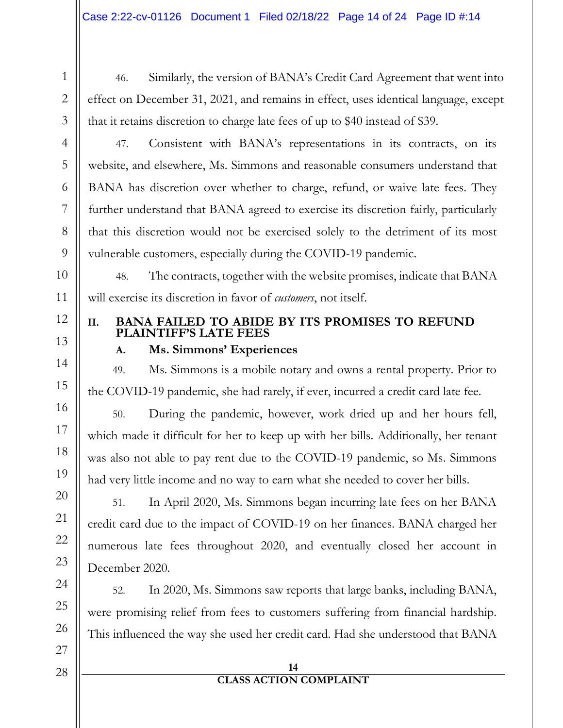46. Similarly, the version of BANA's Credit Card Agreement that went into effect on December 31, 2021, and remains in effect, uses identical language, except that it retains discretion to charge late fees of up to \$40 instead of \$39.

47. Consistent with BANA's representations in its contracts, on its website, and elsewhere, Ms. Simmons and reasonable consumers understand that BANA has discretion over whether to charge, refund, or waive late fees. They further understand that BANA agreed to exercise its discretion fairly, particularly that this discretion would not be exercised solely to the detriment of its most vulnerable customers, especially during the COVID-19 pandemic.

48. The contracts, together with the website promises, indicate that BANA will exercise its discretion in favor of *customers*, not itself.

# **II. BANA FAILED TO ABIDE BY ITS PROMISES TO REFUND PLAINTIFF'S LATE FEES**

# **A. Ms. Simmons' Experiences**

49. Ms. Simmons is a mobile notary and owns a rental property. Prior to the COVID-19 pandemic, she had rarely, if ever, incurred a credit card late fee.

50. During the pandemic, however, work dried up and her hours fell, which made it difficult for her to keep up with her bills. Additionally, her tenant was also not able to pay rent due to the COVID-19 pandemic, so Ms. Simmons had very little income and no way to earn what she needed to cover her bills.

51. In April 2020, Ms. Simmons began incurring late fees on her BANA credit card due to the impact of COVID-19 on her finances. BANA charged her numerous late fees throughout 2020, and eventually closed her account in December 2020.

52. In 2020, Ms. Simmons saw reports that large banks, including BANA, were promising relief from fees to customers suffering from financial hardship. This influenced the way she used her credit card. Had she understood that BANA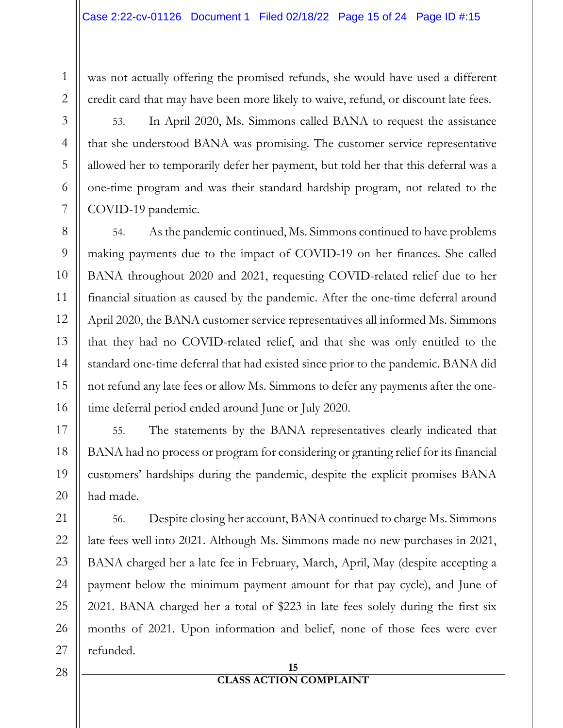was not actually offering the promised refunds, she would have used a different credit card that may have been more likely to waive, refund, or discount late fees.

53. In April 2020, Ms. Simmons called BANA to request the assistance that she understood BANA was promising. The customer service representative allowed her to temporarily defer her payment, but told her that this deferral was a one-time program and was their standard hardship program, not related to the COVID-19 pandemic.

54. As the pandemic continued, Ms. Simmons continued to have problems making payments due to the impact of COVID-19 on her finances. She called BANA throughout 2020 and 2021, requesting COVID-related relief due to her financial situation as caused by the pandemic. After the one-time deferral around April 2020, the BANA customer service representatives all informed Ms. Simmons that they had no COVID-related relief, and that she was only entitled to the standard one-time deferral that had existed since prior to the pandemic. BANA did not refund any late fees or allow Ms. Simmons to defer any payments after the onetime deferral period ended around June or July 2020.

55. The statements by the BANA representatives clearly indicated that BANA had no process or program for considering or granting relief for its financial customers' hardships during the pandemic, despite the explicit promises BANA had made.

56. Despite closing her account, BANA continued to charge Ms. Simmons late fees well into 2021. Although Ms. Simmons made no new purchases in 2021, BANA charged her a late fee in February, March, April, May (despite accepting a payment below the minimum payment amount for that pay cycle), and June of 2021. BANA charged her a total of \$223 in late fees solely during the first six months of 2021. Upon information and belief, none of those fees were ever refunded.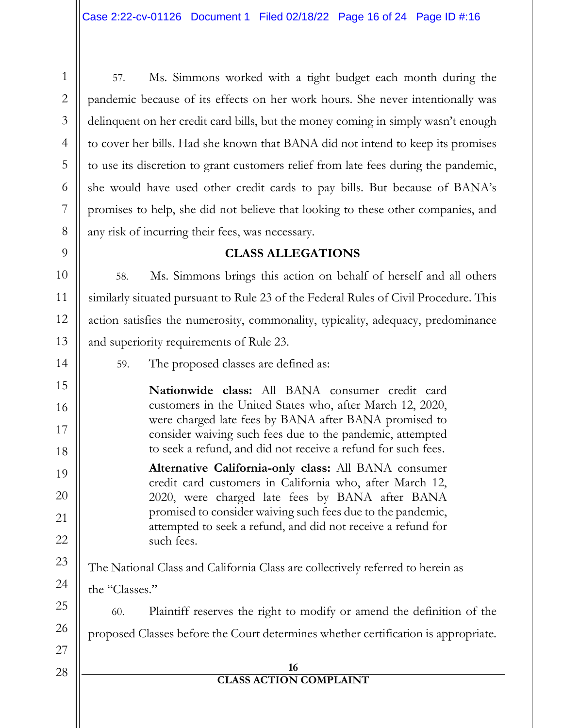57. Ms. Simmons worked with a tight budget each month during the pandemic because of its effects on her work hours. She never intentionally was delinquent on her credit card bills, but the money coming in simply wasn't enough to cover her bills. Had she known that BANA did not intend to keep its promises to use its discretion to grant customers relief from late fees during the pandemic, she would have used other credit cards to pay bills. But because of BANA's promises to help, she did not believe that looking to these other companies, and any risk of incurring their fees, was necessary.

# **CLASS ALLEGATIONS**

58. Ms. Simmons brings this action on behalf of herself and all others similarly situated pursuant to Rule 23 of the Federal Rules of Civil Procedure. This action satisfies the numerosity, commonality, typicality, adequacy, predominance and superiority requirements of Rule 23.

59. The proposed classes are defined as:

**Nationwide class:** All BANA consumer credit card customers in the United States who, after March 12, 2020, were charged late fees by BANA after BANA promised to consider waiving such fees due to the pandemic, attempted to seek a refund, and did not receive a refund for such fees.

**Alternative California-only class:** All BANA consumer credit card customers in California who, after March 12, 2020, were charged late fees by BANA after BANA promised to consider waiving such fees due to the pandemic, attempted to seek a refund, and did not receive a refund for such fees.

The National Class and California Class are collectively referred to herein as

the "Classes."

60. Plaintiff reserves the right to modify or amend the definition of the proposed Classes before the Court determines whether certification is appropriate.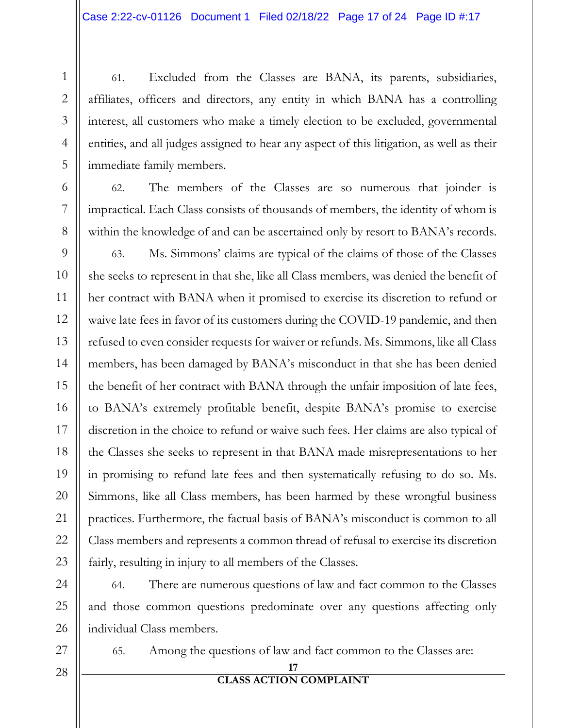61. Excluded from the Classes are BANA, its parents, subsidiaries, affiliates, officers and directors, any entity in which BANA has a controlling interest, all customers who make a timely election to be excluded, governmental entities, and all judges assigned to hear any aspect of this litigation, as well as their immediate family members.

62. The members of the Classes are so numerous that joinder is impractical. Each Class consists of thousands of members, the identity of whom is within the knowledge of and can be ascertained only by resort to BANA's records.

63. Ms. Simmons' claims are typical of the claims of those of the Classes she seeks to represent in that she, like all Class members, was denied the benefit of her contract with BANA when it promised to exercise its discretion to refund or waive late fees in favor of its customers during the COVID-19 pandemic, and then refused to even consider requests for waiver or refunds. Ms. Simmons, like all Class members, has been damaged by BANA's misconduct in that she has been denied the benefit of her contract with BANA through the unfair imposition of late fees, to BANA's extremely profitable benefit, despite BANA's promise to exercise discretion in the choice to refund or waive such fees. Her claims are also typical of the Classes she seeks to represent in that BANA made misrepresentations to her in promising to refund late fees and then systematically refusing to do so. Ms. Simmons, like all Class members, has been harmed by these wrongful business practices. Furthermore, the factual basis of BANA's misconduct is common to all Class members and represents a common thread of refusal to exercise its discretion fairly, resulting in injury to all members of the Classes.

64. There are numerous questions of law and fact common to the Classes and those common questions predominate over any questions affecting only individual Class members.

65. Among the questions of law and fact common to the Classes are: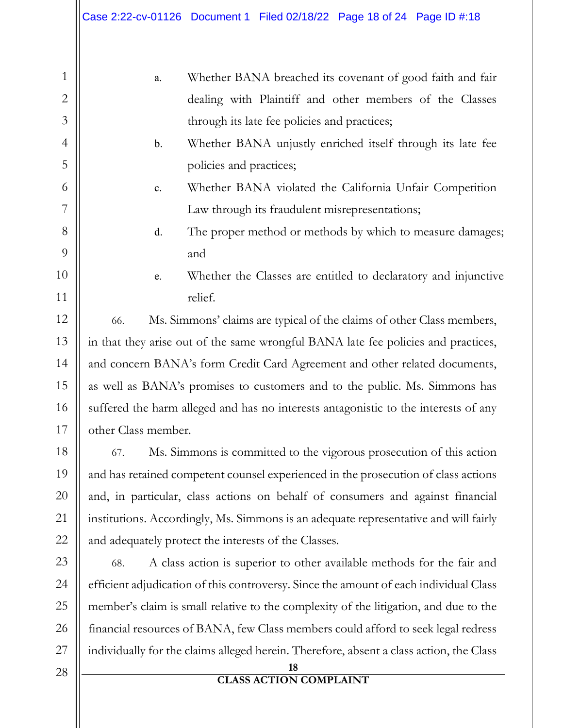a. Whether BANA breached its covenant of good faith and fair dealing with Plaintiff and other members of the Classes through its late fee policies and practices; b. Whether BANA unjustly enriched itself through its late fee policies and practices; c. Whether BANA violated the California Unfair Competition Law through its fraudulent misrepresentations; d. The proper method or methods by which to measure damages; and e. Whether the Classes are entitled to declaratory and injunctive relief. 66. Ms. Simmons' claims are typical of the claims of other Class members, in that they arise out of the same wrongful BANA late fee policies and practices, and concern BANA's form Credit Card Agreement and other related documents, as well as BANA's promises to customers and to the public. Ms. Simmons has suffered the harm alleged and has no interests antagonistic to the interests of any other Class member. 67. Ms. Simmons is committed to the vigorous prosecution of this action and has retained competent counsel experienced in the prosecution of class actions and, in particular, class actions on behalf of consumers and against financial institutions. Accordingly, Ms. Simmons is an adequate representative and will fairly

68. A class action is superior to other available methods for the fair and efficient adjudication of this controversy. Since the amount of each individual Class member's claim is small relative to the complexity of the litigation, and due to the financial resources of BANA, few Class members could afford to seek legal redress individually for the claims alleged herein. Therefore, absent a class action, the Class

and adequately protect the interests of the Classes.

1

2

3

4

5

6

7

8

9

10

11

12

13

14

15

16

17

18

19

20

21

22

23

24

25

26

27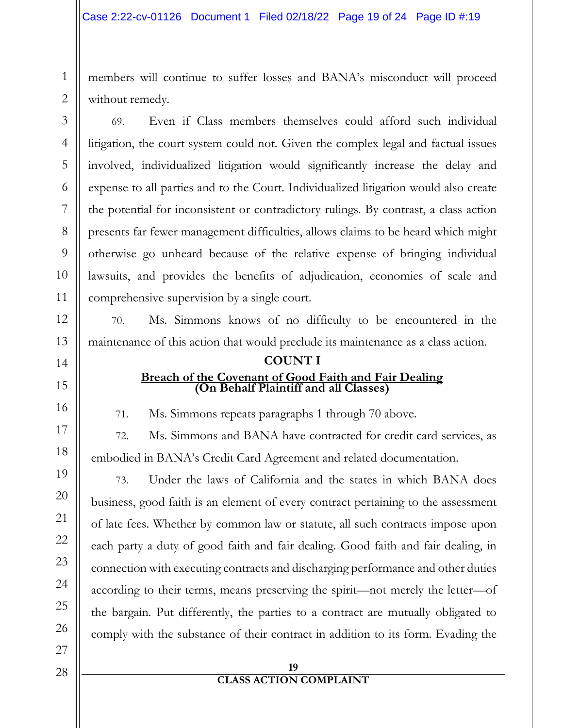members will continue to suffer losses and BANA's misconduct will proceed without remedy.

69. Even if Class members themselves could afford such individual litigation, the court system could not. Given the complex legal and factual issues involved, individualized litigation would significantly increase the delay and expense to all parties and to the Court. Individualized litigation would also create the potential for inconsistent or contradictory rulings. By contrast, a class action presents far fewer management difficulties, allows claims to be heard which might otherwise go unheard because of the relative expense of bringing individual lawsuits, and provides the benefits of adjudication, economies of scale and comprehensive supervision by a single court.

70. Ms. Simmons knows of no difficulty to be encountered in the maintenance of this action that would preclude its maintenance as a class action.

## **COUNT I Breach of the Covenant of Good Faith and Fair Dealing (On Behalf Plaintiff and all Classes)**

71. Ms. Simmons repeats paragraphs 1 through 70 above.

72. Ms. Simmons and BANA have contracted for credit card services, as embodied in BANA's Credit Card Agreement and related documentation.

73. Under the laws of California and the states in which BANA does business, good faith is an element of every contract pertaining to the assessment of late fees. Whether by common law or statute, all such contracts impose upon each party a duty of good faith and fair dealing. Good faith and fair dealing, in connection with executing contracts and discharging performance and other duties according to their terms, means preserving the spirit—not merely the letter—of the bargain. Put differently, the parties to a contract are mutually obligated to comply with the substance of their contract in addition to its form. Evading the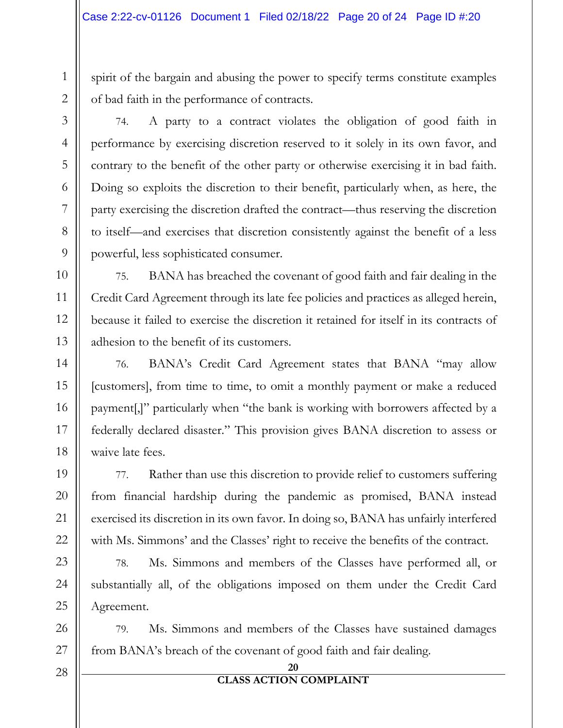spirit of the bargain and abusing the power to specify terms constitute examples of bad faith in the performance of contracts.

74. A party to a contract violates the obligation of good faith in performance by exercising discretion reserved to it solely in its own favor, and contrary to the benefit of the other party or otherwise exercising it in bad faith. Doing so exploits the discretion to their benefit, particularly when, as here, the party exercising the discretion drafted the contract—thus reserving the discretion to itself—and exercises that discretion consistently against the benefit of a less powerful, less sophisticated consumer.

75. BANA has breached the covenant of good faith and fair dealing in the Credit Card Agreement through its late fee policies and practices as alleged herein, because it failed to exercise the discretion it retained for itself in its contracts of adhesion to the benefit of its customers.

76. BANA's Credit Card Agreement states that BANA "may allow [customers], from time to time, to omit a monthly payment or make a reduced payment[,]" particularly when "the bank is working with borrowers affected by a federally declared disaster." This provision gives BANA discretion to assess or waive late fees.

77. Rather than use this discretion to provide relief to customers suffering from financial hardship during the pandemic as promised, BANA instead exercised its discretion in its own favor. In doing so, BANA has unfairly interfered with Ms. Simmons' and the Classes' right to receive the benefits of the contract.

78. Ms. Simmons and members of the Classes have performed all, or substantially all, of the obligations imposed on them under the Credit Card Agreement.

79. Ms. Simmons and members of the Classes have sustained damages from BANA's breach of the covenant of good faith and fair dealing.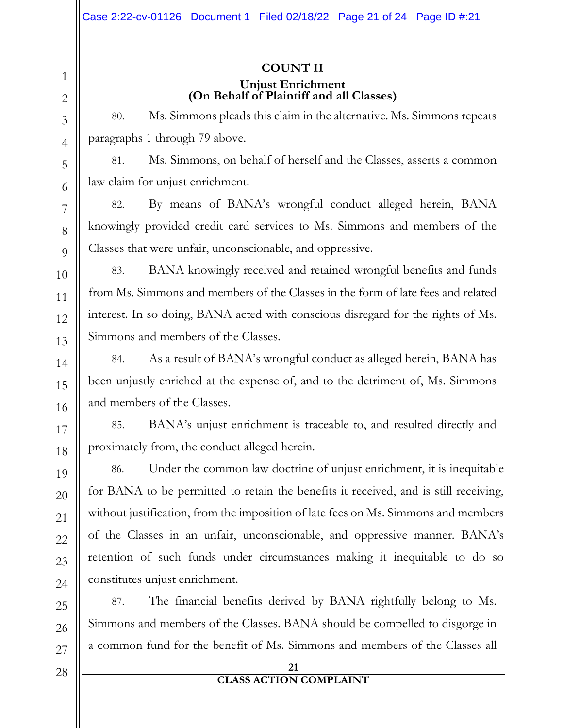## **COUNT II Unjust Enrichment (On Behalf of Plaintiff and all Classes)**

80. Ms. Simmons pleads this claim in the alternative. Ms. Simmons repeats paragraphs 1 through 79 above.

81. Ms. Simmons, on behalf of herself and the Classes, asserts a common law claim for unjust enrichment.

82. By means of BANA's wrongful conduct alleged herein, BANA knowingly provided credit card services to Ms. Simmons and members of the Classes that were unfair, unconscionable, and oppressive.

83. BANA knowingly received and retained wrongful benefits and funds from Ms. Simmons and members of the Classes in the form of late fees and related interest. In so doing, BANA acted with conscious disregard for the rights of Ms. Simmons and members of the Classes.

84. As a result of BANA's wrongful conduct as alleged herein, BANA has been unjustly enriched at the expense of, and to the detriment of, Ms. Simmons and members of the Classes.

85. BANA's unjust enrichment is traceable to, and resulted directly and proximately from, the conduct alleged herein.

86. Under the common law doctrine of unjust enrichment, it is inequitable for BANA to be permitted to retain the benefits it received, and is still receiving, without justification, from the imposition of late fees on Ms. Simmons and members of the Classes in an unfair, unconscionable, and oppressive manner. BANA's retention of such funds under circumstances making it inequitable to do so constitutes unjust enrichment.

87. The financial benefits derived by BANA rightfully belong to Ms. Simmons and members of the Classes. BANA should be compelled to disgorge in a common fund for the benefit of Ms. Simmons and members of the Classes all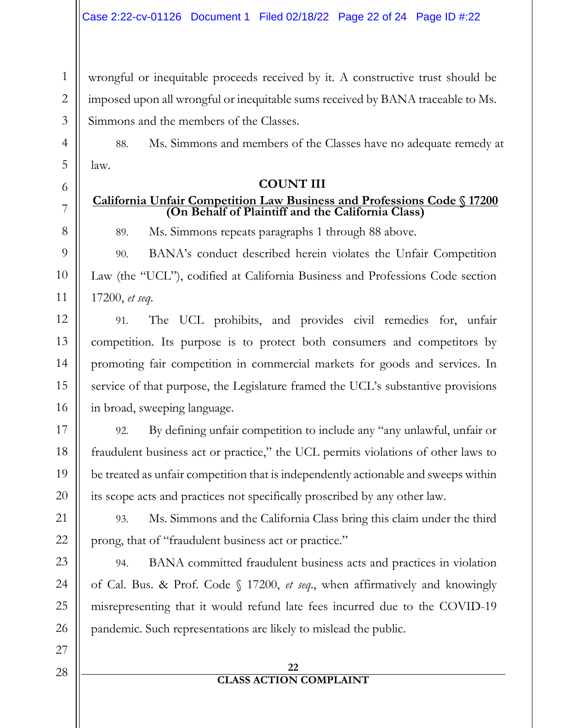wrongful or inequitable proceeds received by it. A constructive trust should be imposed upon all wrongful or inequitable sums received by BANA traceable to Ms. Simmons and the members of the Classes.

88. Ms. Simmons and members of the Classes have no adequate remedy at law.

## **COUNT III**

## **California Unfair Competition Law Business and Professions Code § 17200 (On Behalf of Plaintiff and the California Class)**

89. Ms. Simmons repeats paragraphs 1 through 88 above.

90. BANA's conduct described herein violates the Unfair Competition Law (the "UCL"), codified at California Business and Professions Code section 17200, *et seq*.

91. The UCL prohibits, and provides civil remedies for, unfair competition. Its purpose is to protect both consumers and competitors by promoting fair competition in commercial markets for goods and services. In service of that purpose, the Legislature framed the UCL's substantive provisions in broad, sweeping language.

92. By defining unfair competition to include any "any unlawful, unfair or fraudulent business act or practice," the UCL permits violations of other laws to be treated as unfair competition that is independently actionable and sweeps within its scope acts and practices not specifically proscribed by any other law.

93. Ms. Simmons and the California Class bring this claim under the third prong, that of "fraudulent business act or practice."

94. BANA committed fraudulent business acts and practices in violation of Cal. Bus. & Prof. Code § 17200, *et seq*., when affirmatively and knowingly misrepresenting that it would refund late fees incurred due to the COVID-19 pandemic. Such representations are likely to mislead the public.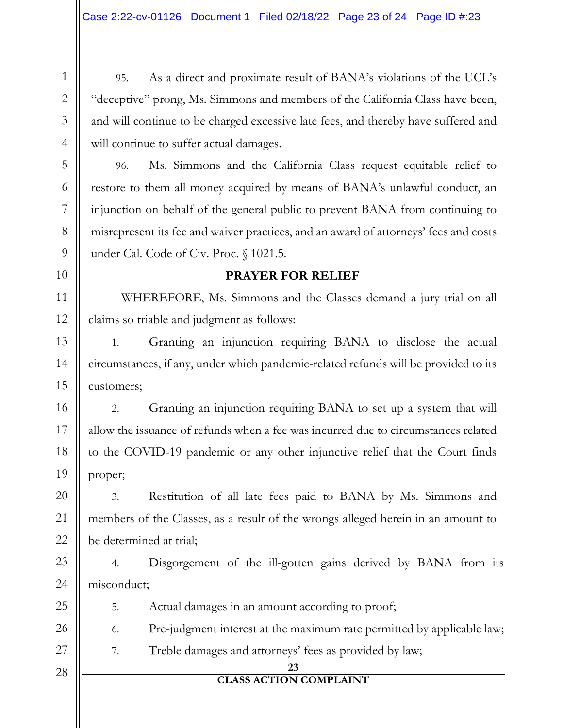95. As a direct and proximate result of BANA's violations of the UCL's "deceptive" prong, Ms. Simmons and members of the California Class have been, and will continue to be charged excessive late fees, and thereby have suffered and will continue to suffer actual damages.

96. Ms. Simmons and the California Class request equitable relief to restore to them all money acquired by means of BANA's unlawful conduct, an injunction on behalf of the general public to prevent BANA from continuing to misrepresent its fee and waiver practices, and an award of attorneys' fees and costs under Cal. Code of Civ. Proc. § 1021.5.

## **PRAYER FOR RELIEF**

WHEREFORE, Ms. Simmons and the Classes demand a jury trial on all claims so triable and judgment as follows:

1. Granting an injunction requiring BANA to disclose the actual circumstances, if any, under which pandemic-related refunds will be provided to its customers;

2. Granting an injunction requiring BANA to set up a system that will allow the issuance of refunds when a fee was incurred due to circumstances related to the COVID-19 pandemic or any other injunctive relief that the Court finds proper;

3. Restitution of all late fees paid to BANA by Ms. Simmons and members of the Classes, as a result of the wrongs alleged herein in an amount to be determined at trial;

4. Disgorgement of the ill-gotten gains derived by BANA from its misconduct;

5. Actual damages in an amount according to proof;

6. Pre-judgment interest at the maximum rate permitted by applicable law;

7. Treble damages and attorneys' fees as provided by law;